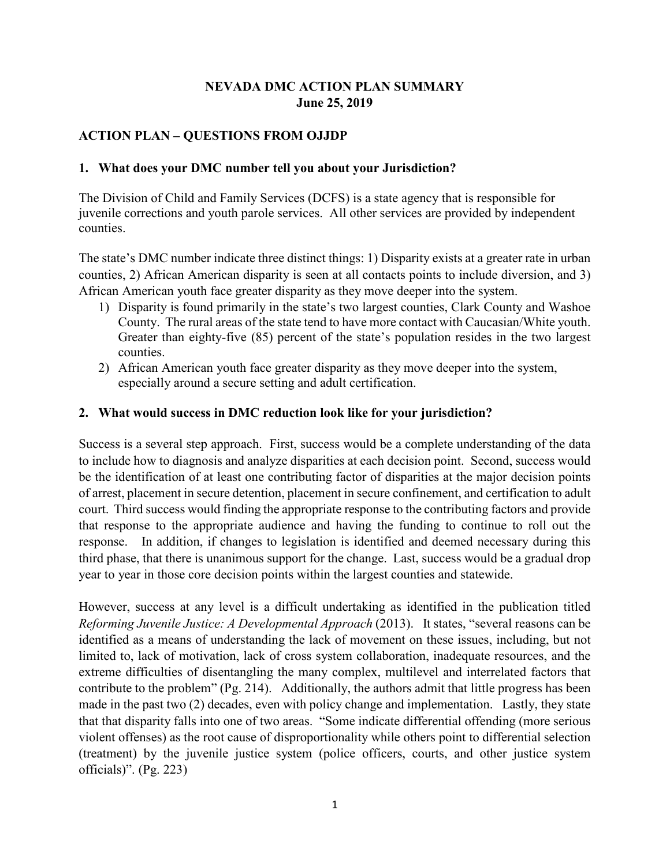# **NEVADA DMC ACTION PLAN SUMMARY June 25, 2019**

## **ACTION PLAN – QUESTIONS FROM OJJDP**

#### **1. What does your DMC number tell you about your Jurisdiction?**

The Division of Child and Family Services (DCFS) is a state agency that is responsible for juvenile corrections and youth parole services. All other services are provided by independent counties.

 African American youth face greater disparity as they move deeper into the system. The state's DMC number indicate three distinct things: 1) Disparity exists at a greater rate in urban counties, 2) African American disparity is seen at all contacts points to include diversion, and 3)

- 1) Disparity is found primarily in the state's two largest counties, Clark County and Washoe County. The rural areas of the state tend to have more contact with Caucasian/White youth. counties. Greater than eighty-five (85) percent of the state's population resides in the two largest
- 2) African American youth face greater disparity as they move deeper into the system, especially around a secure setting and adult certification.

#### **2. What would success in DMC reduction look like for your jurisdiction?**

 Success is a several step approach. First, success would be a complete understanding of the data that response to the appropriate audience and having the funding to continue to roll out the to include how to diagnosis and analyze disparities at each decision point. Second, success would be the identification of at least one contributing factor of disparities at the major decision points of arrest, placement in secure detention, placement in secure confinement, and certification to adult court. Third success would finding the appropriate response to the contributing factors and provide response. In addition, if changes to legislation is identified and deemed necessary during this third phase, that there is unanimous support for the change. Last, success would be a gradual drop year to year in those core decision points within the largest counties and statewide.

 However, success at any level is a difficult undertaking as identified in the publication titled *Reforming Juvenile Justice: A Developmental Approach* (2013). It states, "several reasons can be identified as a means of understanding the lack of movement on these issues, including, but not limited to, lack of motivation, lack of cross system collaboration, inadequate resources, and the extreme difficulties of disentangling the many complex, multilevel and interrelated factors that contribute to the problem" (Pg. 214). Additionally, the authors admit that little progress has been made in the past two (2) decades, even with policy change and implementation. Lastly, they state that that disparity falls into one of two areas. "Some indicate differential offending (more serious violent offenses) as the root cause of disproportionality while others point to differential selection (treatment) by the juvenile justice system (police officers, courts, and other justice system officials)". (Pg. 223)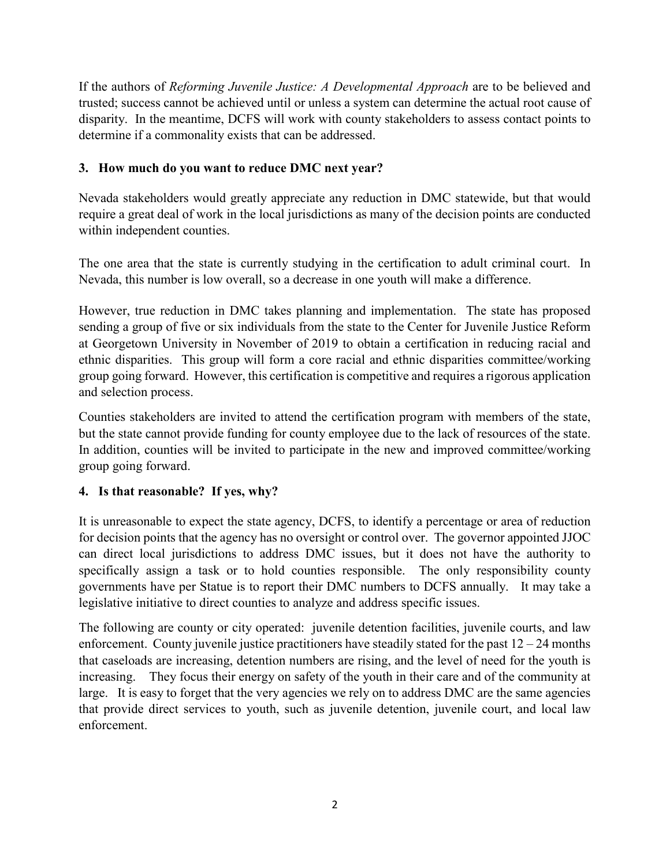determine if a commonality exists that can be addressed. If the authors of *Reforming Juvenile Justice: A Developmental Approach* are to be believed and trusted; success cannot be achieved until or unless a system can determine the actual root cause of disparity. In the meantime, DCFS will work with county stakeholders to assess contact points to

# **3. How much do you want to reduce DMC next year?**

Nevada stakeholders would greatly appreciate any reduction in DMC statewide, but that would require a great deal of work in the local jurisdictions as many of the decision points are conducted within independent counties.

 The one area that the state is currently studying in the certification to adult criminal court. In Nevada, this number is low overall, so a decrease in one youth will make a difference.

 sending a group of five or six individuals from the state to the Center for Juvenile Justice Reform at Georgetown University in November of 2019 to obtain a certification in reducing racial and group going forward. However, this certification is competitive and requires a rigorous application However, true reduction in DMC takes planning and implementation. The state has proposed ethnic disparities. This group will form a core racial and ethnic disparities committee/working and selection process.

but the state cannot provide funding for county employee due to the lack of resources of the state. Counties stakeholders are invited to attend the certification program with members of the state, In addition, counties will be invited to participate in the new and improved committee/working. group going forward.

### **4. Is that reasonable? If yes, why?**

 for decision points that the agency has no oversight or control over. The governor appointed JJOC legislative initiative to direct counties to analyze and address specific issues. It is unreasonable to expect the state agency, DCFS, to identify a percentage or area of reduction can direct local jurisdictions to address DMC issues, but it does not have the authority to specifically assign a task or to hold counties responsible. The only responsibility county governments have per Statue is to report their DMC numbers to DCFS annually. It may take a

 legislative initiative to direct counties to analyze and address specific issues. The following are county or city operated: juvenile detention facilities, juvenile courts, and law that caseloads are increasing, detention numbers are rising, and the level of need for the youth is increasing. They focus their energy on safety of the youth in their care and of the community at large. It is easy to forget that the very agencies we rely on to address DMC are the same agencies enforcement. County juvenile justice practitioners have steadily stated for the past  $12 - 24$  months that provide direct services to youth, such as juvenile detention, juvenile court, and local law enforcement.